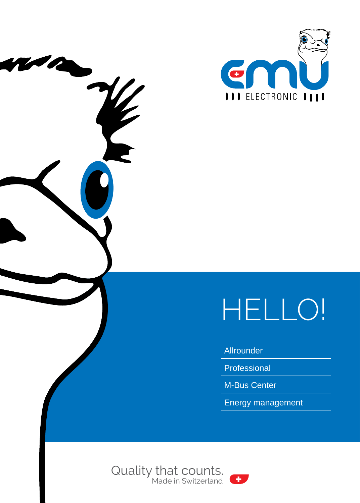



### Allrounder

Professional

M-Bus Center

Energy management



 $\boldsymbol{\gamma}$ 

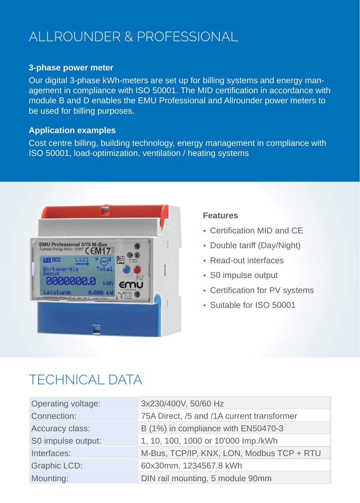# ALLROUNDER & PROFESSIONAL

#### **3-phase power meter**

Our digital 3-phase kWh-meters are set up for billing systems and energy management in compliance with ISO 50001. The MID certification in accordance with module B and D enables the EMU Professional and Allrounder power meters to be used for billing purposes.

#### **Application examples**

Cost centre billing, building technology, energy management in compliance with ISO 50001, load-optimization, ventilation / heating systems



#### **Features**

- Certification MID and CE
- Double tariff (Day/Night)
- Read-out interfaces
- S0 impulse output
- Certification for PV systems
- Suitable for ISO 50001

## TECHNICAL DATA

| Operating voltage: | 3x230/400V, 50/60 Hz                       |
|--------------------|--------------------------------------------|
| Connection:        | 75A Direct, /5 and /1A current transformer |
| Accuracy class:    | B (1%) in compliance with EN50470-3        |
| S0 impulse output: | 1, 10, 100, 1000 or 10'000 lmp./kWh        |
| Interfaces:        | M-Bus, TCP/IP, KNX, LON, Modbus TCP + RTU  |
| Graphic LCD:       | 60x30mm, 1234567.8 kWh                     |
| Mounting:          | DIN rail mounting, 5 module 90mm           |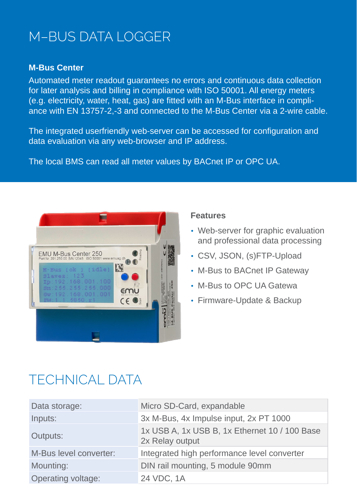## M–BUS DATA LOGGER

#### **M-Bus Center**

Automated meter readout guarantees no errors and continuous data collection for later analysis and billing in compliance with ISO 50001. All energy meters (e.g. electricity, water, heat, gas) are fitted with an M-Bus interface in compliance with EN 13757-2,-3 and connected to the M-Bus Center via a 2-wire cable.

The integrated userfriendly web-server can be accessed for configuration and data evaluation via any web-browser and IP address.

The local BMS can read all meter values by BACnet IP or OPC UA.



#### **Features**

- Web-server for graphic evaluation and professional data processing
- CSV, JSON, (s)FTP-Upload
- M-Bus to BACnet IP Gateway
- M-Bus to OPC UA Gatewa
- Firmware-Update & Backup

### TECHNICAL DATA

| Data storage:          | Micro SD-Card, expandable                                        |
|------------------------|------------------------------------------------------------------|
| Inputs:                | 3x M-Bus, 4x Impulse input, 2x PT 1000                           |
| Outputs:               | 1x USB A, 1x USB B, 1x Ethernet 10 / 100 Base<br>2x Relay output |
| M-Bus level converter: | Integrated high performance level converter                      |
| Mounting:              | DIN rail mounting, 5 module 90mm                                 |
| Operating voltage:     | 24 VDC, 1A                                                       |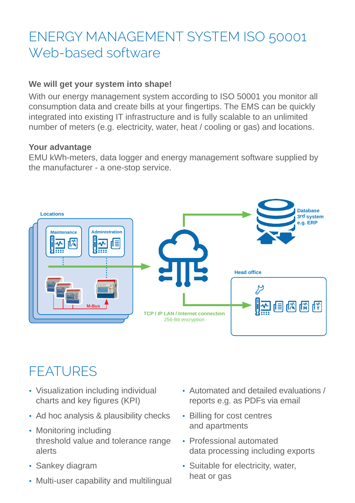# ENERGY MANAGEMENT SYSTEM ISO 50001 Web-based software

### **We will get your system into shape!**

With our energy management system according to ISO 50001 you monitor all consumption data and create bills at your fingertips. The EMS can be quickly integrated into existing IT infrastructure and is fully scalable to an unlimited number of meters (e.g. electricity, water, heat / cooling or gas) and locations.

#### **Your advantage**

EMU kWh-meters, data logger and energy management software supplied by the manufacturer - a one-stop service.



# FEATURES

- Visualization including individual charts and key figures (KPI)
- Ad hoc analysis & plausibility checks
- Monitoring including threshold value and tolerance range alerts
- Sankey diagram
- Multi-user capability and multilingual
- Automated and detailed evaluations / reports e.g. as PDFs via email
- Billing for cost centres and apartments
- Professional automated data processing including exports
- Suitable for electricity, water, heat or gas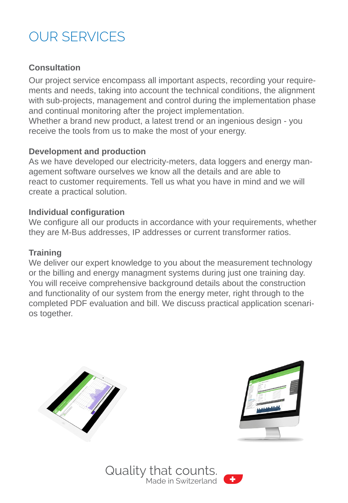# OUR SERVICES

### **Consultation**

Our project service encompass all important aspects, recording your requirements and needs, taking into account the technical conditions, the alignment with sub-projects, management and control during the implementation phase and continual monitoring after the project implementation.

Whether a brand new product, a latest trend or an ingenious design - you receive the tools from us to make the most of your energy.

### **Development and production**

As we have developed our electricity-meters, data loggers and energy management software ourselves we know all the details and are able to react to customer requirements. Tell us what you have in mind and we will create a practical solution.

### **Individual configuration**

We configure all our products in accordance with your requirements, whether they are M-Bus addresses, IP addresses or current transformer ratios.

### **Training**

We deliver our expert knowledge to you about the measurement technology or the billing and energy managment systems during just one training day. You will receive comprehensive background details about the construction and functionality of our system from the energy meter, right through to the completed PDF evaluation and bill. We discuss practical application scenarios together.





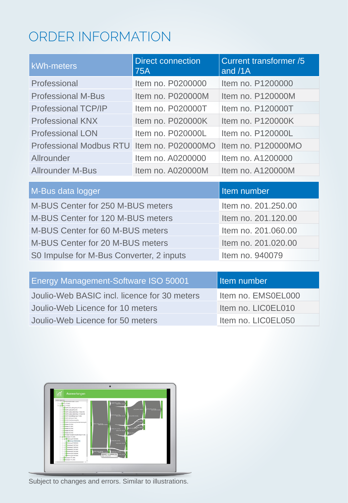# ORDER INFORMATION

| kWh-meters                                 | Direct connection<br>75A | <b>Current transformer /5</b><br>and /1A |
|--------------------------------------------|--------------------------|------------------------------------------|
| Professional                               | Item no. P0200000        | Item no. P1200000                        |
| <b>Professional M-Bus</b>                  | Item no. P020000M        | Item no. P120000M                        |
| Professional TCP/IP                        | Item no. P020000T        | Item no. P120000T                        |
| <b>Professional KNX</b>                    | Item no. P020000K        | Item no. P120000K                        |
| <b>Professional LON</b>                    | Item no. P020000L        | Item no. P120000L                        |
| Professional Modbus RTU Item no. P020000MO |                          | Item no. P120000MO                       |
| Allrounder                                 | Item no. A0200000        | Item no. A1200000                        |
| Allrounder M-Bus                           | Item no. A020000M        | Item no. A120000M                        |

| M-Bus data logger                        | Item number         |
|------------------------------------------|---------------------|
| M-BUS Center for 250 M-BUS meters        | Item no. 201.250.00 |
| M-BUS Center for 120 M-BUS meters        | Item no. 201.120.00 |
| M-BUS Center for 60 M-BUS meters         | Item no. 201.060.00 |
| M-BUS Center for 20 M-BUS meters         | Item no. 201.020.00 |
| S0 Impulse for M-Bus Converter, 2 inputs | Item no. 940079     |
|                                          |                     |

| l Item number      |
|--------------------|
| Item no. EMS0EL000 |
| Item no. LICOEL010 |
| Item no. LICOEL050 |
|                    |



Subject to changes and errors. Similar to illustrations.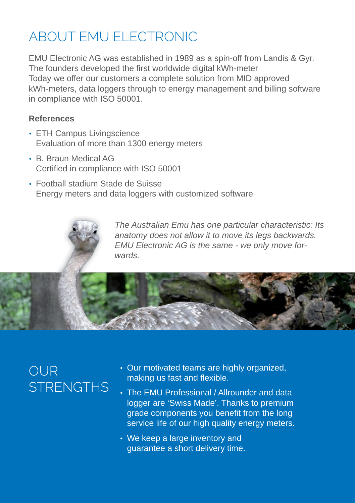# ABOUT EMU ELECTRONIC

EMU Electronic AG was established in 1989 as a spin-off from Landis & Gyr. The founders developed the first worldwide digital kWh-meter Today we offer our customers a complete solution from MID approved kWh-meters, data loggers through to energy management and billing software in compliance with ISO 50001.

### **References**

- ETH Campus Livingscience Evaluation of more than 1300 energy meters
- B. Braun Medical AG Certified in compliance with ISO 50001
- Football stadium Stade de Suisse Energy meters and data loggers with customized software

*The Australian Emu has one particular characteristic: Its anatomy does not allow it to move its legs backwards. EMU Electronic AG is the same - we only move forwards.*



# OUR **STRENGTHS**

- Our motivated teams are highly organized, making us fast and flexible.
- The EMU Professional / Allrounder and data logger are 'Swiss Made'. Thanks to premium grade components you benefit from the long service life of our high quality energy meters.
- We keep a large inventory and guarantee a short delivery time.